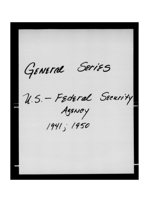GENEral SeriES U.S. - Federal Security 1941; 1950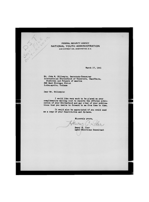**FEDERAL SECURITY AGENCY NATtONAL YOUTH ADM!N!STRAT!ON**  2145 C STREET NW., WASHINGTON, D. C.

March 17, 1941

Mr. John M. Gillespie, Secretary-Treasurer International Brotherhood of Teamsters, Chauffeurs, Stablemen and Helpers of America 222 last Michigan Street Lidia-apolis, Indiana

Dear Mr. Gillespie:

I would like very much to be placed on your complimentary mailing list to receive the official publication of your Brotherhood and any other of your publications that you desire to forward to me from time to time.

It would also be appreciated if you would send me a copy of your Constitution and By-Lews.

Sincerely yours. Le

Henry 3. Iler Labor Reletions Consultant